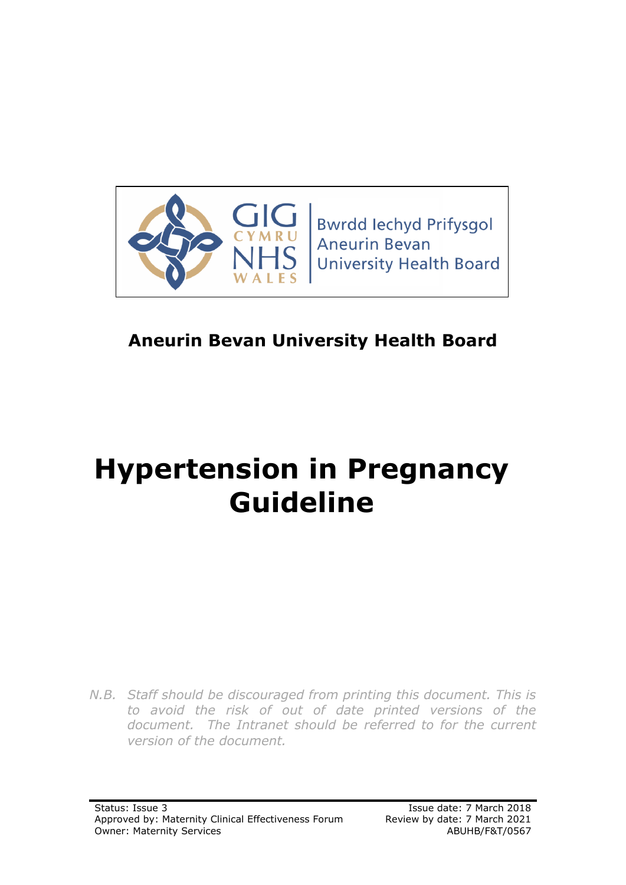

# **Aneurin Bevan University Health Board**

# **Hypertension in Pregnancy Guideline**

*N.B. Staff should be discouraged from printing this document. This is to avoid the risk of out of date printed versions of the document. The Intranet should be referred to for the current version of the document.*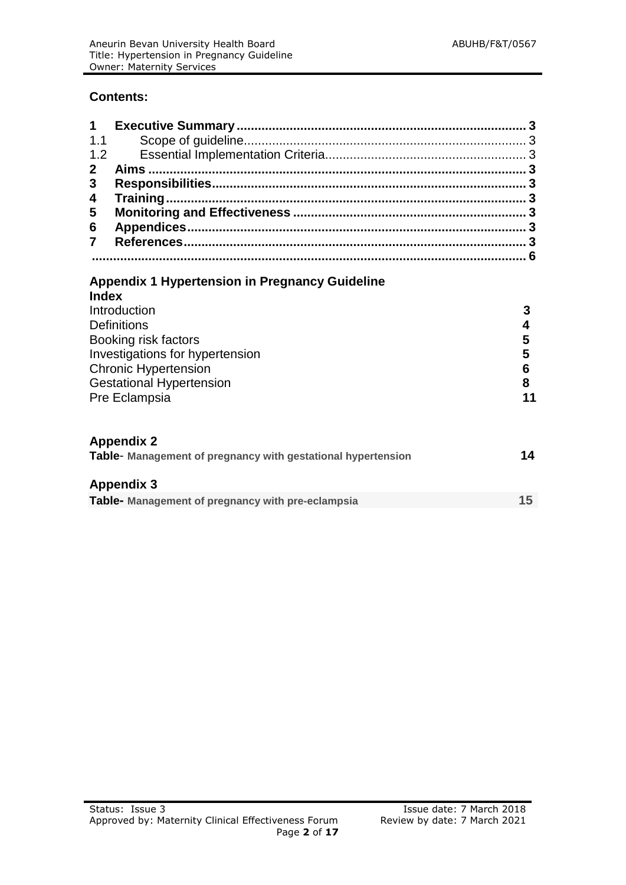#### **Contents:**

| 1                       |                                                                                                                                                                                  |                                  |
|-------------------------|----------------------------------------------------------------------------------------------------------------------------------------------------------------------------------|----------------------------------|
| 1.1                     |                                                                                                                                                                                  |                                  |
| 1.2                     |                                                                                                                                                                                  |                                  |
| $\overline{2}$          |                                                                                                                                                                                  |                                  |
| 3                       |                                                                                                                                                                                  |                                  |
| 4                       |                                                                                                                                                                                  |                                  |
| 5                       |                                                                                                                                                                                  |                                  |
| 6                       |                                                                                                                                                                                  |                                  |
| $\overline{\mathbf{7}}$ |                                                                                                                                                                                  |                                  |
|                         |                                                                                                                                                                                  |                                  |
| <b>Index</b>            | Introduction<br><b>Definitions</b><br>Booking risk factors<br>Investigations for hypertension<br><b>Chronic Hypertension</b><br><b>Gestational Hypertension</b><br>Pre Eclampsia | 3<br>4<br>5<br>5<br>6<br>8<br>11 |
|                         | <b>Appendix 2</b><br>Table- Management of pregnancy with gestational hypertension                                                                                                | 14                               |
|                         | <b>Appendix 3</b>                                                                                                                                                                |                                  |
|                         | Table- Management of pregnancy with pre-eclampsia                                                                                                                                | 15                               |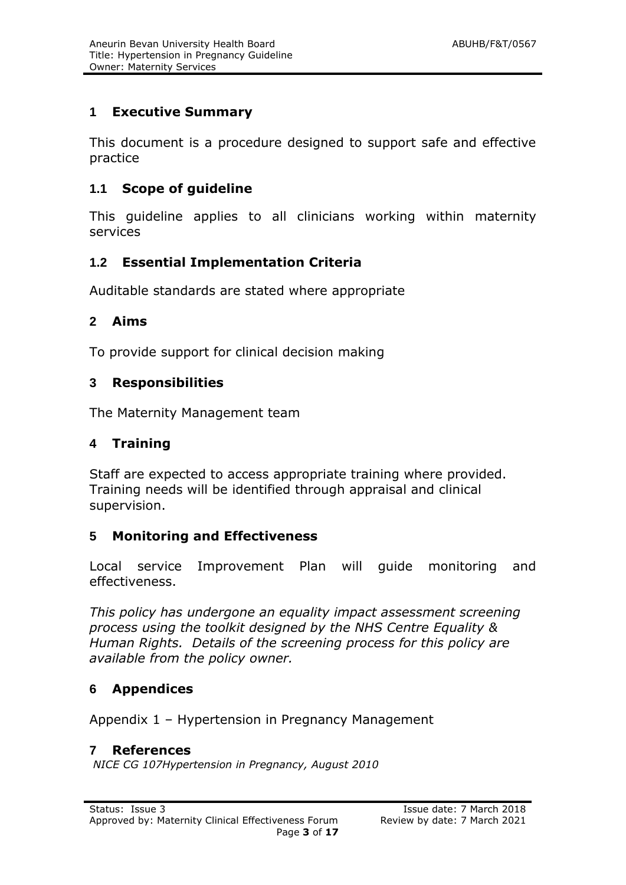#### **1 Executive Summary**

This document is a procedure designed to support safe and effective practice

#### **1.1 Scope of guideline**

This guideline applies to all clinicians working within maternity services

#### **1.2 Essential Implementation Criteria**

Auditable standards are stated where appropriate

#### **2 Aims**

To provide support for clinical decision making

#### **3 Responsibilities**

The Maternity Management team

#### **4 Training**

Staff are expected to access appropriate training where provided. Training needs will be identified through appraisal and clinical supervision.

#### **5 Monitoring and Effectiveness**

Local service Improvement Plan will guide monitoring and effectiveness.

*This policy has undergone an equality impact assessment screening process using the toolkit designed by the NHS Centre Equality & Human Rights. Details of the screening process for this policy are available from the policy owner.*

#### **6 Appendices**

Appendix 1 – Hypertension in Pregnancy Management

#### **7 References**

*NICE CG 107Hypertension in Pregnancy, August 2010*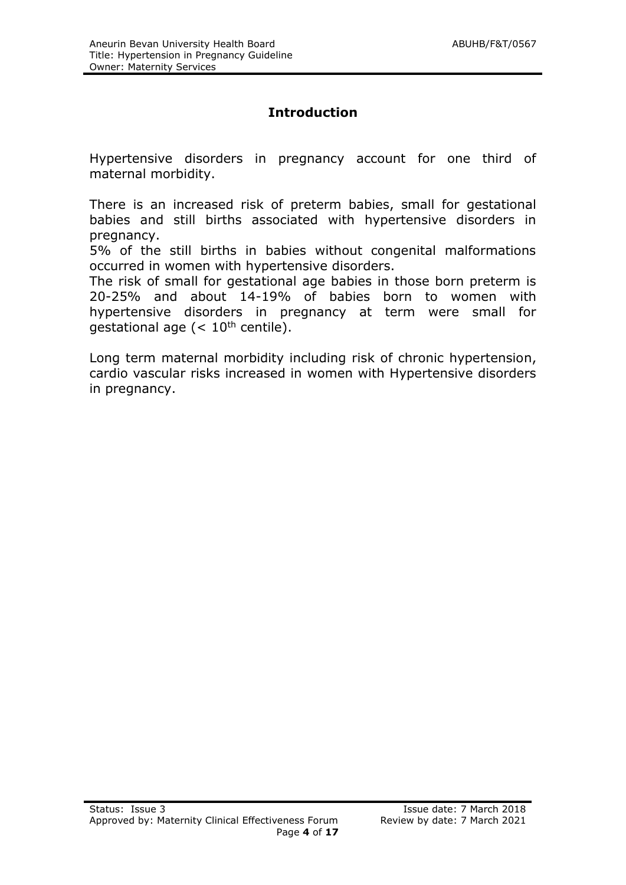### **Introduction**

Hypertensive disorders in pregnancy account for one third of maternal morbidity.

There is an increased risk of preterm babies, small for gestational babies and still births associated with hypertensive disorders in pregnancy.

5% of the still births in babies without congenital malformations occurred in women with hypertensive disorders.

The risk of small for gestational age babies in those born preterm is 20-25% and about 14-19% of babies born to women with hypertensive disorders in pregnancy at term were small for gestational age  $(< 10<sup>th</sup>$  centile).

Long term maternal morbidity including risk of chronic hypertension, cardio vascular risks increased in women with Hypertensive disorders in pregnancy.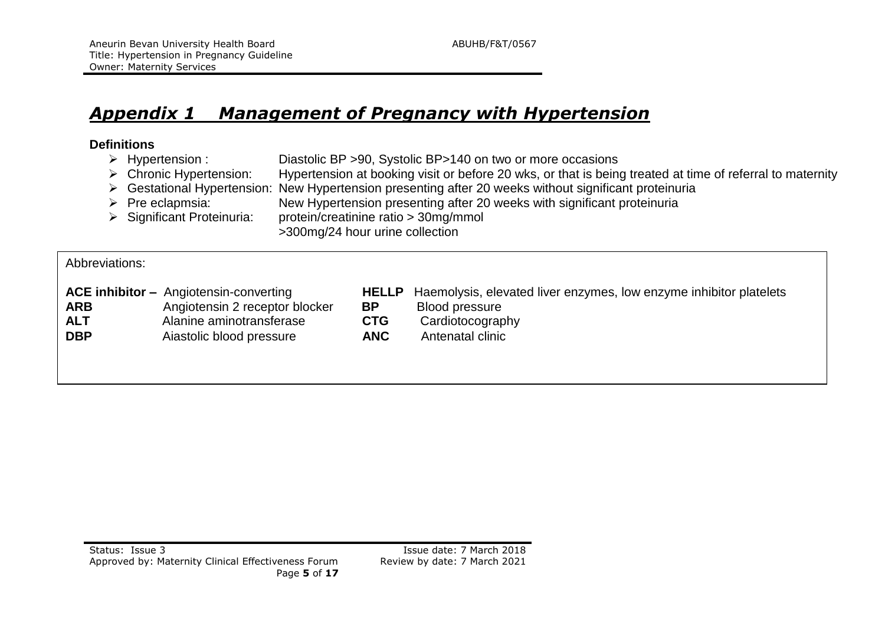## *Appendix 1 Management of Pregnancy with Hypertension*

#### **Definitions**

- Hypertension : Diastolic BP >90, Systolic BP>140 on two or more occasions
- ▶ Chronic Hypertension: Hypertension at booking visit or before 20 wks, or that is being treated at time of referral to maternity
- Gestational Hypertension: New Hypertension presenting after 20 weeks without significant proteinuria
- $\triangleright$  Pre eclapmsia: New Hypertension presenting after 20 weeks with significant proteinuria<br>  $\triangleright$  Significant Proteinuria: protein/creatinine ratio > 30mg/mmol
	- protein/creatinine ratio > 30mg/mmol
		- >300mg/24 hour urine collection

#### Abbreviations:

- **ARB** Angiotensin 2 receptor blocker **BP** Blood pressure **ALT** Alanine aminotransferase **CTG** Cardiotocography **DBP** Aiastolic blood pressure **ANC** Antenatal clinic
- **ACE inhibitor** Angiotensin-converting **HELLP** Haemolysis, elevated liver enzymes, low enzyme inhibitor platelets
	- -
		-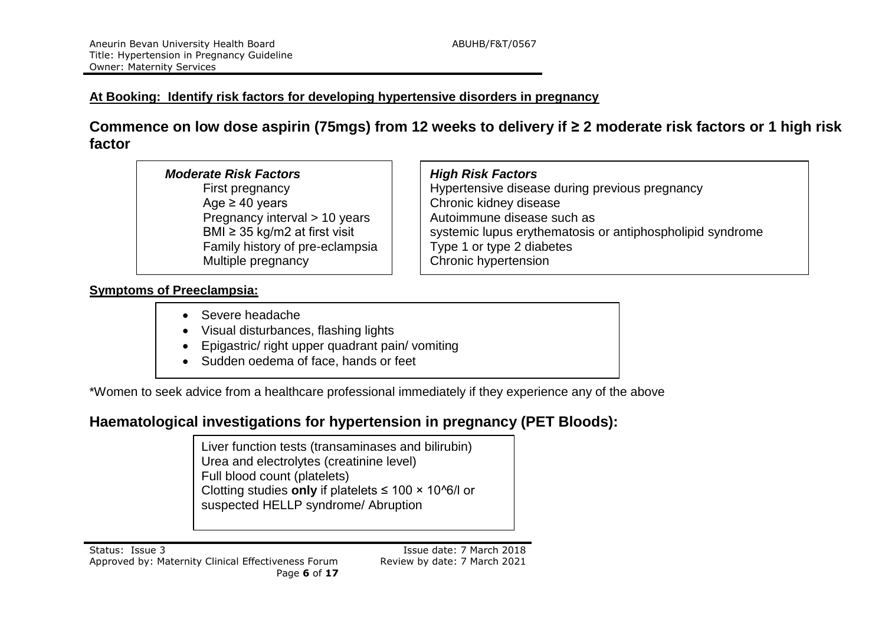#### **At Booking: Identify risk factors for developing hypertensive disorders in pregnancy**

**Commence on low dose aspirin (75mgs) from 12 weeks to delivery if ≥ 2 moderate risk factors or 1 high risk factor**

#### *Moderate Risk Factors High Risk Factors*

Age ≥ 40 years Chronic kidney disease Pregnancy interval  $> 10$  years  $\vert$  Autoimmune disease such as Family history of pre-eclampsia  $\Box$  Type 1 or type 2 diabetes Multiple pregnancy **Chronic Hypertension** 

First pregnancy **Hypertensive disease during previous pregnancy** BMI  $\geq$  35 kg/m2 at first visit  $\vert$  systemic lupus erythematosis or antiphospholipid syndrome

#### **Symptoms of Preeclampsia:**

- Severe headache
- Visual disturbances, flashing lights
- Epigastric/ right upper quadrant pain/ vomiting
- Sudden oedema of face, hands or feet

\*Women to seek advice from a healthcare professional immediately if they experience any of the above

### **Haematological investigations for hypertension in pregnancy (PET Bloods):**

Liver function tests (transaminases and bilirubin) Urea and electrolytes (creatinine level) Full blood count (platelets) Clotting studies **only** if platelets ≤ 100 × 10^6/l or suspected HELLP syndrome/ Abruption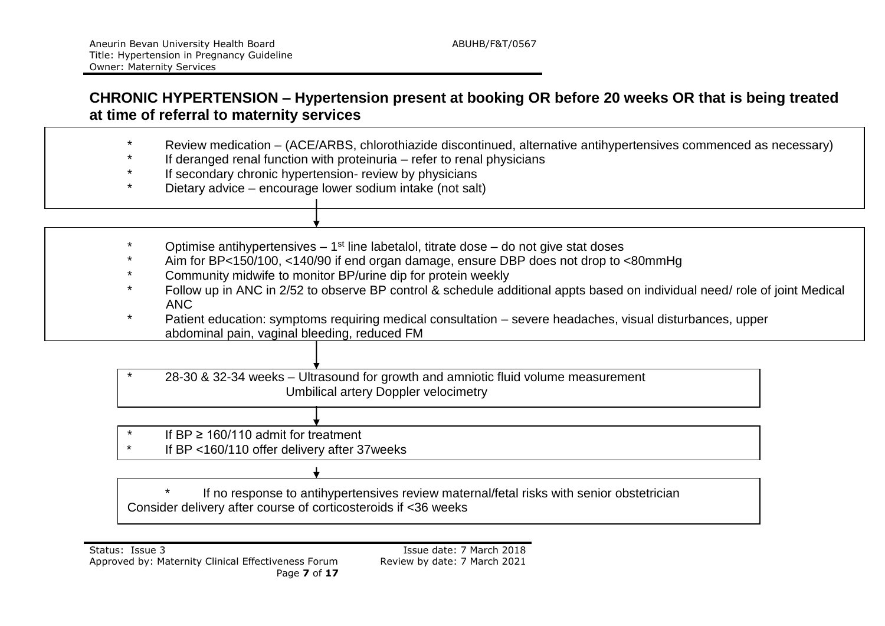### **CHRONIC HYPERTENSION – Hypertension present at booking OR before 20 weeks OR that is being treated at time of referral to maternity services**

- Review medication (ACE/ARBS, chlorothiazide discontinued, alternative antihypertensives commenced as necessary)
- If deranged renal function with proteinuria  $-$  refer to renal physicians
- If secondary chronic hypertension- review by physicians
- Dietary advice encourage lower sodium intake (not salt)
- \* Optimise antihypertensives  $-1<sup>st</sup>$  line labetalol, titrate dose  $-$  do not give stat doses
- Aim for BP<150/100, <140/90 if end organ damage, ensure DBP does not drop to <80mmHg
- Community midwife to monitor BP/urine dip for protein weekly
- Follow up in ANC in 2/52 to observe BP control & schedule additional appts based on individual need/ role of joint Medical ANC
- \* Patient education: symptoms requiring medical consultation severe headaches, visual disturbances, upper abdominal pain, vaginal bleeding, reduced FM

\* 28-30 & 32-34 weeks – Ultrasound for growth and amniotic fluid volume measurement Umbilical artery Doppler velocimetry

- If  $BP \geq 160/110$  admit for treatment
- \* If BP <160/110 offer delivery after 37weeks

\* If no response to antihypertensives review maternal/fetal risks with senior obstetrician Consider delivery after course of corticosteroids if <36 weeks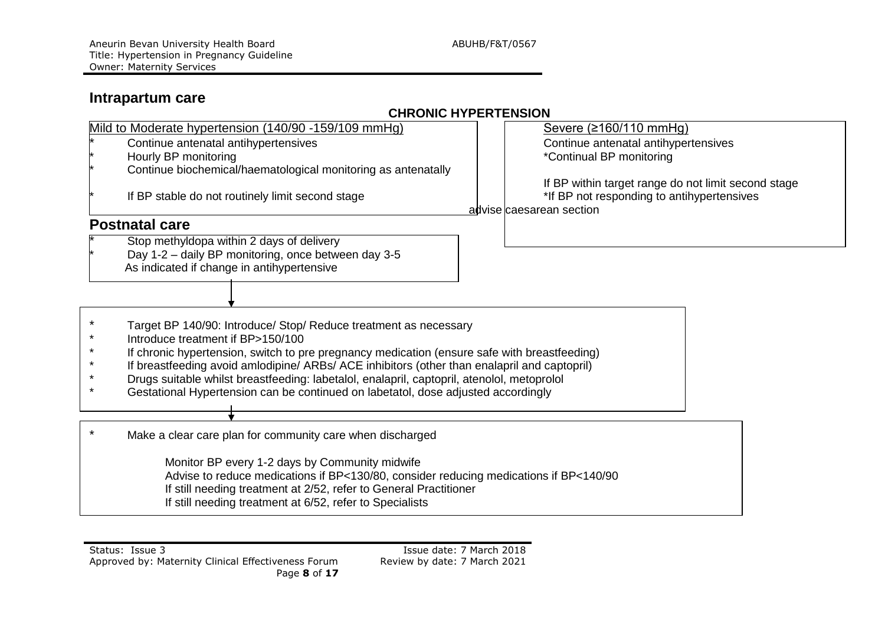### **Intrapartum care**

#### **CHRONIC HYPERTENSION**

| Mild to Moderate hypertension (140/90 -159/109 mmHg)                                         | Severe (≥160/110 mmHg)                              |  |  |
|----------------------------------------------------------------------------------------------|-----------------------------------------------------|--|--|
| Continue antenatal antihypertensives                                                         | Continue antenatal antihypertensives                |  |  |
| Hourly BP monitoring                                                                         | *Continual BP monitoring                            |  |  |
| Continue biochemical/haematological monitoring as antenatally                                |                                                     |  |  |
|                                                                                              | If BP within target range do not limit second stage |  |  |
| If BP stable do not routinely limit second stage                                             | *If BP not responding to antihypertensives          |  |  |
|                                                                                              | advise caesarean section                            |  |  |
| <b>Postnatal care</b>                                                                        |                                                     |  |  |
| Stop methyldopa within 2 days of delivery                                                    |                                                     |  |  |
| Day 1-2 - daily BP monitoring, once between day 3-5                                          |                                                     |  |  |
| As indicated if change in antihypertensive                                                   |                                                     |  |  |
|                                                                                              |                                                     |  |  |
|                                                                                              |                                                     |  |  |
|                                                                                              |                                                     |  |  |
| Target BP 140/90: Introduce/ Stop/ Reduce treatment as necessary                             |                                                     |  |  |
| Introduce treatment if BP>150/100                                                            |                                                     |  |  |
| If chronic hypertension, switch to pre pregnancy medication (ensure safe with breastfeeding) |                                                     |  |  |
| If breastfeeding avoid amlodipine/ ARBs/ ACE inhibitors (other than enalapril and captopril) |                                                     |  |  |
| Drugs suitable whilst breastfeeding: labetalol, enalapril, captopril, atenolol, metoprolol   |                                                     |  |  |
| Gestational Hypertension can be continued on labetatol, dose adjusted accordingly            |                                                     |  |  |
|                                                                                              |                                                     |  |  |
| Make a clear care plan for community care when discharged                                    |                                                     |  |  |
|                                                                                              |                                                     |  |  |
| Monitor BP every 1-2 days by Community midwife                                               |                                                     |  |  |
| Advise to reduce medications if BP<130/80, consider reducing medications if BP<140/90        |                                                     |  |  |
| If still needing treatment at 2/52, refer to General Practitioner                            |                                                     |  |  |
| If still needing treatment at 6/52, refer to Specialists                                     |                                                     |  |  |
|                                                                                              |                                                     |  |  |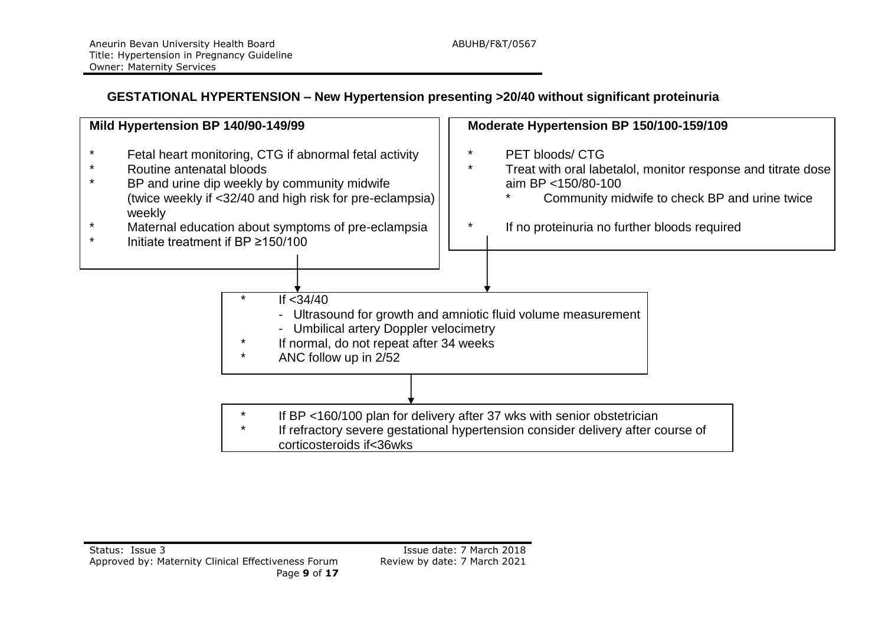#### **GESTATIONAL HYPERTENSION – New Hypertension presenting >20/40 without significant proteinuria**

| Mild Hypertension BP 140/90-149/99                                                                                                                                                                       | Moderate Hypertension BP 150/100-159/109                                                                                                                                     |  |  |
|----------------------------------------------------------------------------------------------------------------------------------------------------------------------------------------------------------|------------------------------------------------------------------------------------------------------------------------------------------------------------------------------|--|--|
| Fetal heart monitoring, CTG if abnormal fetal activity<br>Routine antenatal bloods<br>BP and urine dip weekly by community midwife<br>(twice weekly if <32/40 and high risk for pre-eclampsia)<br>weekly | *<br><b>PET bloods/ CTG</b><br>$\ast$<br>Treat with oral labetalol, monitor response and titrate dose<br>aim BP <150/80-100<br>Community midwife to check BP and urine twice |  |  |
| Maternal education about symptoms of pre-eclampsia<br>Initiate treatment if BP ≥150/100                                                                                                                  | If no proteinuria no further bloods required                                                                                                                                 |  |  |
| If $<$ 34/40<br><b>Umbilical artery Doppler velocimetry</b><br>If normal, do not repeat after 34 weeks<br>ANC follow up in 2/52<br>$\ast$                                                                | Ultrasound for growth and amniotic fluid volume measurement                                                                                                                  |  |  |
| If BP <160/100 plan for delivery after 37 wks with senior obstetrician<br>If refractory severe gestational hypertension consider delivery after course of<br>corticosteroids if<36wks                    |                                                                                                                                                                              |  |  |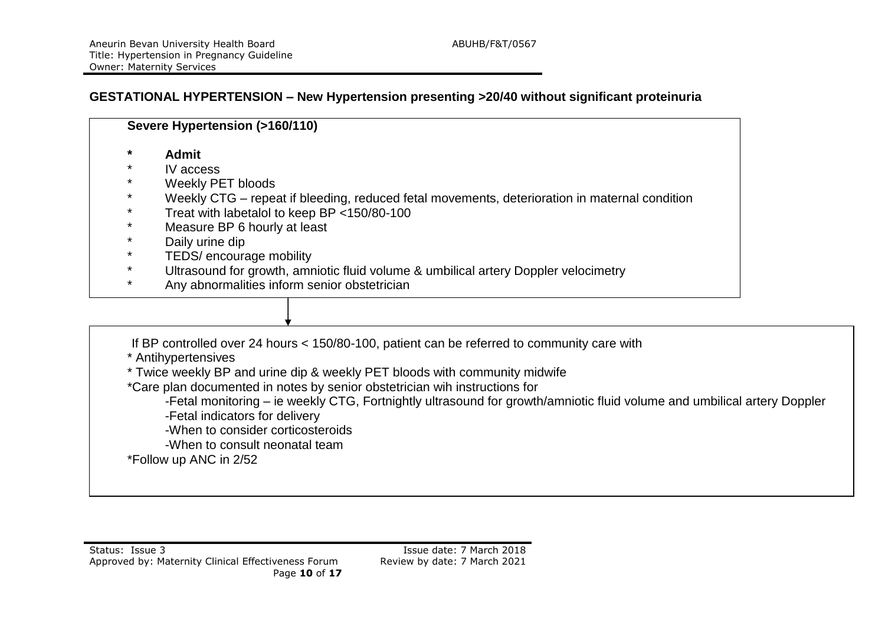#### **GESTATIONAL HYPERTENSION – New Hypertension presenting >20/40 without significant proteinuria**

|         | Severe Hypertension (>160/110)                                                                |  |  |  |
|---------|-----------------------------------------------------------------------------------------------|--|--|--|
| $\ast$  | <b>Admit</b>                                                                                  |  |  |  |
| $\ast$  | IV access                                                                                     |  |  |  |
| $\star$ | Weekly PET bloods                                                                             |  |  |  |
| $\ast$  | Weekly CTG – repeat if bleeding, reduced fetal movements, deterioration in maternal condition |  |  |  |
| $\star$ | Treat with labetalol to keep BP <150/80-100                                                   |  |  |  |
| $\star$ | Measure BP 6 hourly at least                                                                  |  |  |  |
| $\star$ | Daily urine dip                                                                               |  |  |  |
| $\star$ | TEDS/ encourage mobility                                                                      |  |  |  |
| $\star$ | Ultrasound for growth, amniotic fluid volume & umbilical artery Doppler velocimetry           |  |  |  |
| $\ast$  | Any abnormalities inform senior obstetrician                                                  |  |  |  |

If BP controlled over 24 hours < 150/80-100, patient can be referred to community care with

\* Antihypertensives

\* Twice weekly BP and urine dip & weekly PET bloods with community midwife

\*Care plan documented in notes by senior obstetrician wih instructions for

-Fetal monitoring – ie weekly CTG, Fortnightly ultrasound for growth/amniotic fluid volume and umbilical artery Doppler -Fetal indicators for delivery

-When to consider corticosteroids

-When to consult neonatal team

\*Follow up ANC in 2/52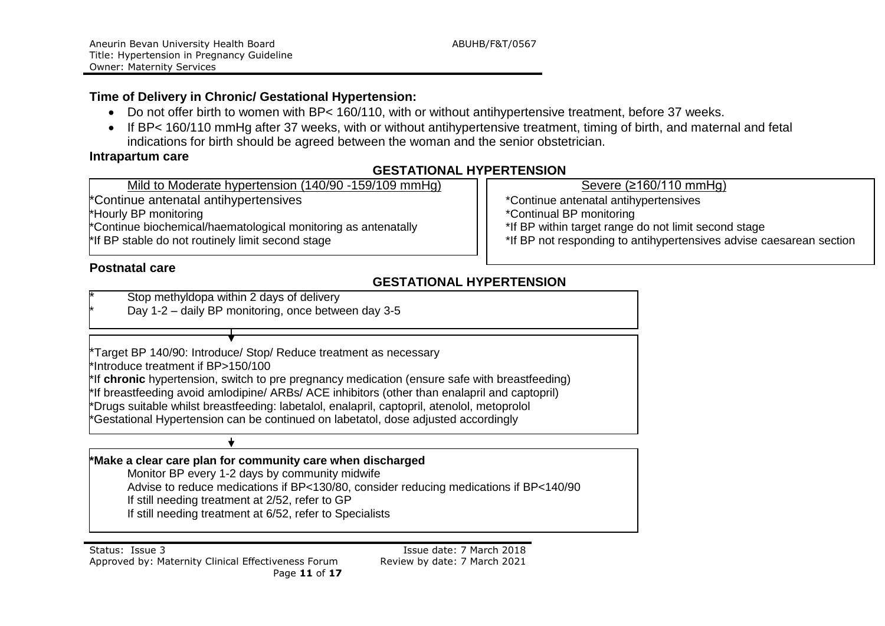#### **Time of Delivery in Chronic/ Gestational Hypertension:**

- Do not offer birth to women with BP< 160/110, with or without antihypertensive treatment, before 37 weeks.
- If BP< 160/110 mmHg after 37 weeks, with or without antihypertensive treatment, timing of birth, and maternal and fetal indications for birth should be agreed between the woman and the senior obstetrician.

#### **Intrapartum care**

#### **GESTATIONAL HYPERTENSION**

Mild to Moderate hypertension (140/90 -159/109 mmHg) Severe (≥160/110 mmHg) \*Continue antenatal antihypertensives \*Continue antenatal antihypertensives

\*Hourly BP monitoring<br>\*Continue biochemical/haematological monitoring as antenatally \*\the same are the trange do not limit second stage\*

\*Continue biochemical/haematological monitoring as antenatally<br>\*If BP stable do not routinely limit second stage

#### **Postnatal care**

\*If BP not responding to antihypertensives advise caesarean section

#### **GESTATIONAL HYPERTENSION**

Stop methyldopa within 2 days of delivery

Day 1-2 – daily BP monitoring, once between day 3-5

\*Target BP 140/90: Introduce/ Stop/ Reduce treatment as necessary \*Introduce treatment if BP>150/100 \*If **chronic** hypertension, switch to pre pregnancy medication (ensure safe with breastfeeding) \*If breastfeeding avoid amlodipine/ ARBs/ ACE inhibitors (other than enalapril and captopril) \*Drugs suitable whilst breastfeeding: labetalol, enalapril, captopril, atenolol, metoprolol \*Gestational Hypertension can be continued on labetatol, dose adjusted accordingly

**\*Make a clear care plan for community care when discharged**

Monitor BP every 1-2 days by community midwife Advise to reduce medications if BP<130/80, consider reducing medications if BP<140/90

If still needing treatment at 2/52, refer to GP

 $\bigstar$ 

If still needing treatment at 6/52, refer to Specialists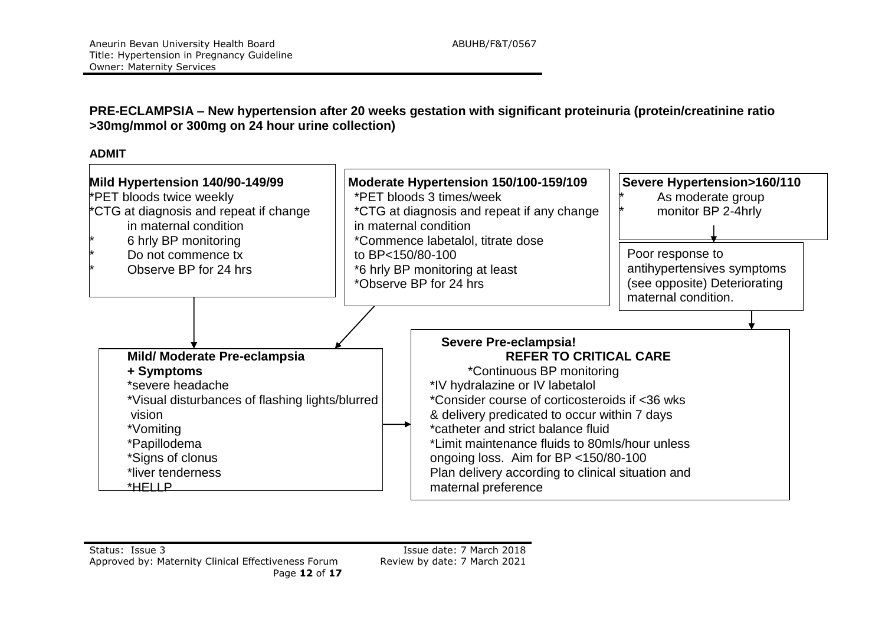#### **PRE-ECLAMPSIA – New hypertension after 20 weeks gestation with significant proteinuria (protein/creatinine ratio >30mg/mmol or 300mg on 24 hour urine collection)**

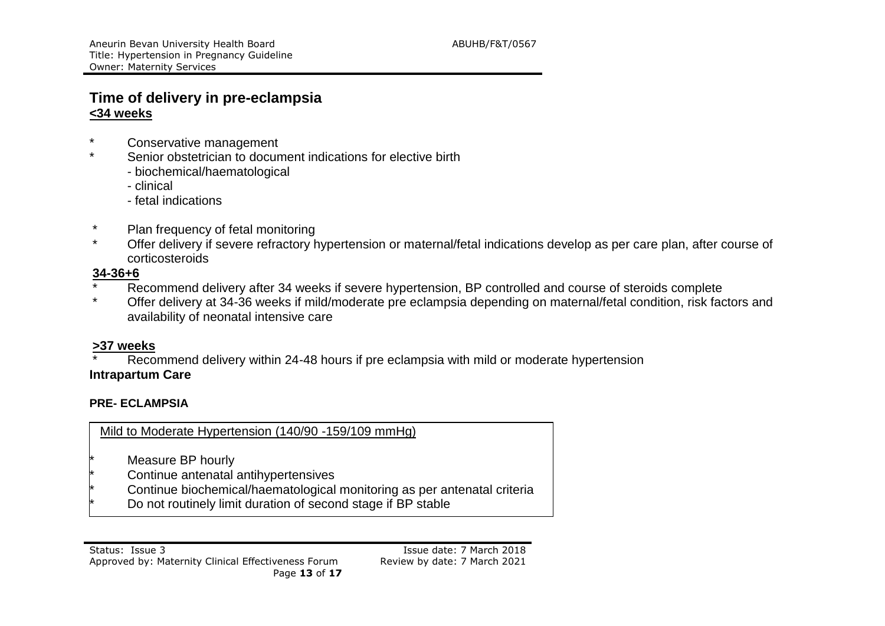#### **Time of delivery in pre-eclampsia <34 weeks**

- \* Conservative management
- Senior obstetrician to document indications for elective birth
	- biochemical/haematological
	- clinical
	- fetal indications
- \* Plan frequency of fetal monitoring
- Offer delivery if severe refractory hypertension or maternal/fetal indications develop as per care plan, after course of corticosteroids

#### **34-36+6**

- \* Recommend delivery after 34 weeks if severe hypertension, BP controlled and course of steroids complete<br>Change of the delivery at 34.36 weeks if mild/moderate are eclamated depending on material/fotal condition, rick for
- Offer delivery at 34-36 weeks if mild/moderate pre eclampsia depending on maternal/fetal condition, risk factors and availability of neonatal intensive care

#### **>37 weeks**

Recommend delivery within 24-48 hours if pre eclampsia with mild or moderate hypertension **Intrapartum Care**

#### **PRE- ECLAMPSIA**

Mild to Moderate Hypertension (140/90 -159/109 mmHg)

- Measure BP hourly
- Continue antenatal antihypertensives
- Continue biochemical/haematological monitoring as per antenatal criteria
- Do not routinely limit duration of second stage if BP stable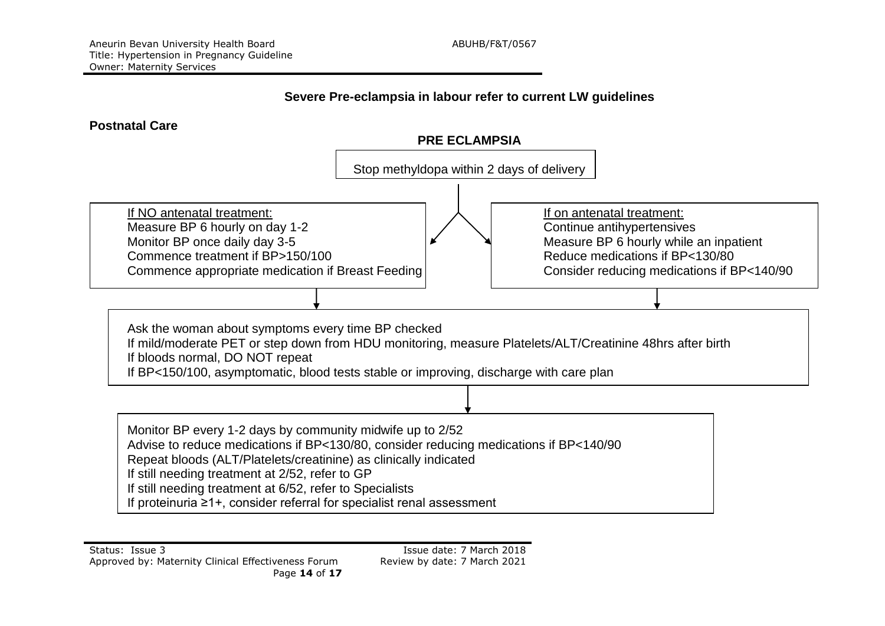#### **Severe Pre-eclampsia in labour refer to current LW guidelines**

#### **Postnatal Care**



If proteinuria ≥1+, consider referral for specialist renal assessment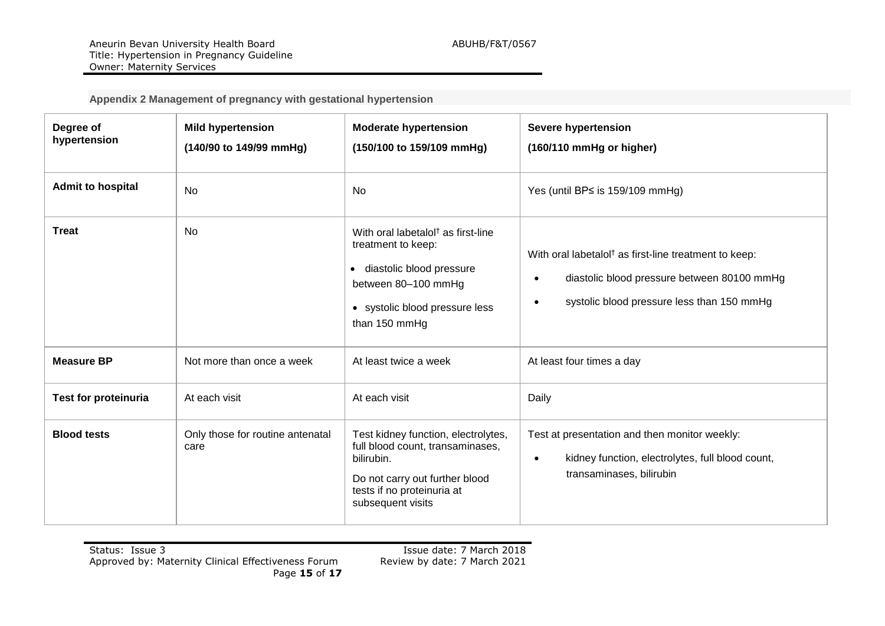**Appendix 2 Management of pregnancy with gestational hypertension**

| Degree of<br>hypertension   | <b>Mild hypertension</b><br>(140/90 to 149/99 mmHg) | <b>Moderate hypertension</b><br>(150/100 to 159/109 mmHg)                                                                                                                    | Severe hypertension<br>(160/110 mmHg or higher)                                                                                                                |
|-----------------------------|-----------------------------------------------------|------------------------------------------------------------------------------------------------------------------------------------------------------------------------------|----------------------------------------------------------------------------------------------------------------------------------------------------------------|
| <b>Admit to hospital</b>    | <b>No</b>                                           | No                                                                                                                                                                           | Yes (until BP≤ is 159/109 mmHg)                                                                                                                                |
| <b>Treat</b>                | No                                                  | With oral labetalol <sup>†</sup> as first-line<br>treatment to keep:<br>· diastolic blood pressure<br>between 80-100 mmHg<br>• systolic blood pressure less<br>than 150 mmHg | With oral labetalol <sup>†</sup> as first-line treatment to keep:<br>diastolic blood pressure between 80100 mmHg<br>systolic blood pressure less than 150 mmHg |
| <b>Measure BP</b>           | Not more than once a week                           | At least twice a week                                                                                                                                                        | At least four times a day                                                                                                                                      |
| <b>Test for proteinuria</b> | At each visit                                       | At each visit                                                                                                                                                                | Daily                                                                                                                                                          |
| <b>Blood tests</b>          | Only those for routine antenatal<br>care            | Test kidney function, electrolytes,<br>full blood count, transaminases,<br>bilirubin.<br>Do not carry out further blood<br>tests if no proteinuria at<br>subsequent visits   | Test at presentation and then monitor weekly:<br>kidney function, electrolytes, full blood count,<br>$\bullet$<br>transaminases, bilirubin                     |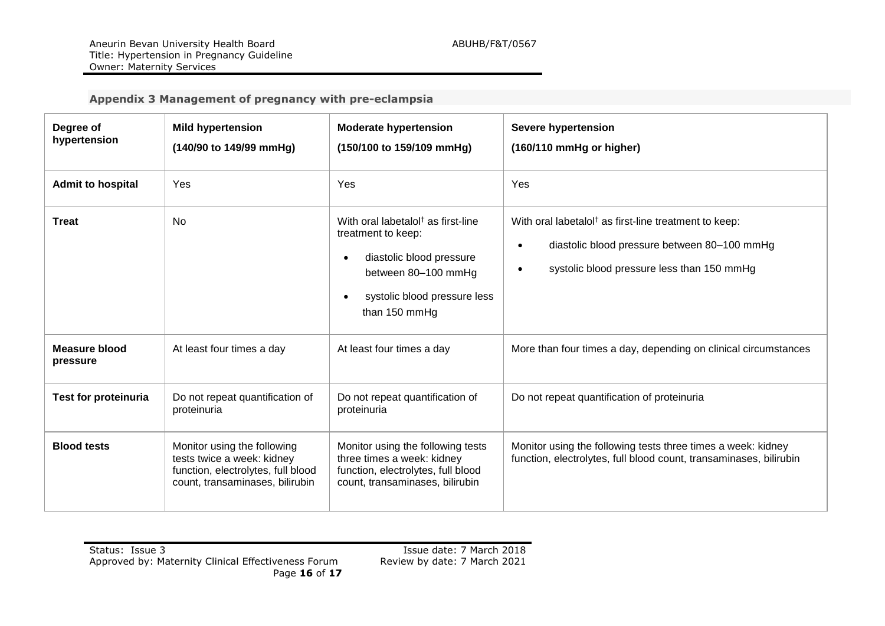#### **Appendix 3 Management of pregnancy with pre-eclampsia**

| Degree of<br>hypertension        | <b>Mild hypertension</b><br>(140/90 to 149/99 mmHg)                                                                                | <b>Moderate hypertension</b><br>(150/100 to 159/109 mmHg)                                                                                                                | Severe hypertension<br>(160/110 mmHg or higher)                                                                                                                                           |
|----------------------------------|------------------------------------------------------------------------------------------------------------------------------------|--------------------------------------------------------------------------------------------------------------------------------------------------------------------------|-------------------------------------------------------------------------------------------------------------------------------------------------------------------------------------------|
| <b>Admit to hospital</b>         | Yes                                                                                                                                | Yes                                                                                                                                                                      | Yes                                                                                                                                                                                       |
| <b>Treat</b>                     | <b>No</b>                                                                                                                          | With oral labetalol <sup>†</sup> as first-line<br>treatment to keep:<br>diastolic blood pressure<br>between 80-100 mmHg<br>systolic blood pressure less<br>than 150 mmHg | With oral labetalol <sup>†</sup> as first-line treatment to keep:<br>diastolic blood pressure between 80-100 mmHg<br>$\bullet$<br>systolic blood pressure less than 150 mmHg<br>$\bullet$ |
| <b>Measure blood</b><br>pressure | At least four times a day                                                                                                          | At least four times a day                                                                                                                                                | More than four times a day, depending on clinical circumstances                                                                                                                           |
| <b>Test for proteinuria</b>      | Do not repeat quantification of<br>proteinuria                                                                                     | Do not repeat quantification of<br>proteinuria                                                                                                                           | Do not repeat quantification of proteinuria                                                                                                                                               |
| <b>Blood tests</b>               | Monitor using the following<br>tests twice a week: kidney<br>function, electrolytes, full blood<br>count, transaminases, bilirubin | Monitor using the following tests<br>three times a week: kidney<br>function, electrolytes, full blood<br>count, transaminases, bilirubin                                 | Monitor using the following tests three times a week: kidney<br>function, electrolytes, full blood count, transaminases, bilirubin                                                        |